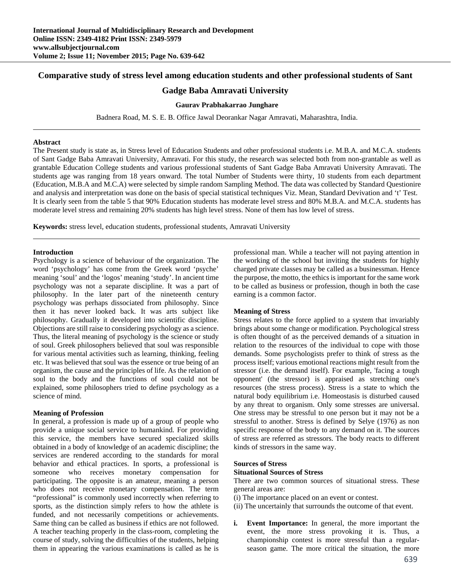# **Comparative study of stress level among education students and other professional students of Sant**

# **Gadge Baba Amravati University**

## **Gaurav Prabhakarrao Junghare**

Badnera Road, M. S. E. B. Office Jawal Deorankar Nagar Amravati, Maharashtra, India.

#### **Abstract**

The Present study is state as, in Stress level of Education Students and other professional students i.e. M.B.A. and M.C.A. students of Sant Gadge Baba Amravati University, Amravati. For this study, the research was selected both from non-grantable as well as grantable Education College students and various professional students of Sant Gadge Baba Amravati University Amravati. The students age was ranging from 18 years onward. The total Number of Students were thirty, 10 students from each department (Education, M.B.A and M.C.A) were selected by simple random Sampling Method. The data was collected by Standard Questionire and analysis and interpretation was done on the basis of special statistical techniques Viz. Mean, Standard Devivation and 't' Test. It is clearly seen from the table 5 that 90% Education students has moderate level stress and 80% M.B.A. and M.C.A. students has moderate level stress and remaining 20% students has high level stress. None of them has low level of stress.

**Keywords:** stress level, education students, professional students, Amravati University

#### **Introduction**

Psychology is a science of behaviour of the organization. The word 'psychology' has come from the Greek word 'psyche' meaning 'soul' and the 'logos' meaning 'study'. In ancient time psychology was not a separate discipline. It was a part of philosophy. In the later part of the nineteenth century psychology was perhaps dissociated from philosophy. Since then it has never looked back. It was arts subject like philosophy. Gradually it developed into scientific discipline. Objections are still raise to considering psychology as a science. Thus, the literal meaning of psychology is the science or study of soul. Greek philosophers believed that soul was responsible for various mental activities such as learning, thinking, feeling etc. It was believed that soul was the essence or true being of an organism, the cause and the principles of life. As the relation of soul to the body and the functions of soul could not be explained, some philosophers tried to define psychology as a science of mind.

### **Meaning of Profession**

In general, a profession is made up of a group of people who provide a unique social service to humankind. For providing this service, the members have secured specialized skills obtained in a body of knowledge of an academic discipline; the services are rendered according to the standards for moral behavior and ethical practices. In sports, a professional is someone who receives monetary compensation for participating. The opposite is an amateur, meaning a person who does not receive monetary compensation. The term "professional" is commonly used incorrectly when referring to sports, as the distinction simply refers to how the athlete is funded, and not necessarily competitions or achievements. Same thing can be called as business if ethics are not followed. A teacher teaching properly in the class-room, completing the course of study, solving the difficulties of the students, helping them in appearing the various examinations is called as he is professional man. While a teacher will not paying attention in the working of the school but inviting the students for highly charged private classes may be called as a businessman. Hence the purpose, the motto, the ethics is important for the same work to be called as business or profession, though in both the case earning is a common factor.

## **Meaning of Stress**

Stress relates to the force applied to a system that invariably brings about some change or modification. Psychological stress is often thought of as the perceived demands of a situation in relation to the resources of the individual to cope with those demands. Some psychologists prefer to think of stress as the process itself; various emotional reactions might result from the stressor (i.e. the demand itself). For example, 'facing a tough opponent' (the stressor) is appraised as stretching one's resources (the stress process). Stress is a state to which the natural body equilibrium i.e. Homeostasis is disturbed caused by any threat to organism. Only some stresses are universal. One stress may be stressful to one person but it may not be a stressful to another. Stress is defined by Selye (1976) as non specific response of the body to any demand on it. The sources of stress are referred as stressors. The body reacts to different kinds of stressors in the same way.

#### **Sources of Stress**

#### **Situational Sources of Stress**

There are two common sources of situational stress. These general areas are:

- (i) The importance placed on an event or contest.
- (ii) The uncertainly that surrounds the outcome of that event.
- **i. Event Importance:** In general, the more important the event, the more stress provoking it is. Thus, a championship contest is more stressful than a regularseason game. The more critical the situation, the more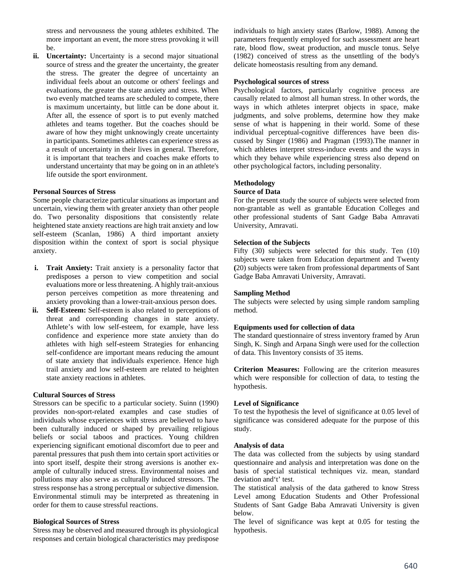stress and nervousness the young athletes exhibited. The more important an event, the more stress provoking it will be.

**ii. Uncertainty:** Uncertainty is a second major situational source of stress and the greater the uncertainty, the greater the stress. The greater the degree of uncertainty an individual feels about an outcome or others' feelings and evaluations, the greater the state anxiety and stress. When two evenly matched teams are scheduled to compete, there is maximum uncertainty, but little can be done about it. After all, the essence of sport is to put evenly matched athletes and teams together. But the coaches should be aware of how they might unknowingly create uncertainty in participants. Sometimes athletes can experience stress as a result of uncertainty in their lives in general. Therefore, it is important that teachers and coaches make efforts to understand uncertainty that may be going on in an athlete's life outside the sport environment.

### **Personal Sources of Stress**

Some people characterize particular situations as important and uncertain, viewing them with greater anxiety than other people do. Two personality dispositions that consistently relate heightened state anxiety reactions are high trait anxiety and low self-esteem (Scanlan, 1986) A third important anxiety disposition within the context of sport is social physique anxiety.

- **i. Trait Anxiety:** Trait anxiety is a personality factor that predisposes a person to view competition and social evaluations more or less threatening. A highly trait-anxious person perceives competition as more threatening and anxiety provoking than a lower-trait-anxious person does.
- **ii. Self-Esteem:** Self-esteem is also related to perceptions of threat and corresponding changes in state anxiety. Athlete's with low self-esteem, for example, have less confidence and experience more state anxiety than do athletes with high self-esteem Strategies for enhancing self-confidence are important means reducing the amount of state anxiety that individuals experience. Hence high trail anxiety and low self-esteem are related to heighten state anxiety reactions in athletes.

## **Cultural Sources of Stress**

Stressors can be specific to a particular society. Suinn (1990) provides non-sport-related examples and case studies of individuals whose experiences with stress are believed to have been culturally induced or shaped by prevailing religious beliefs or social taboos and practices. Young children experiencing significant emotional discomfort due to peer and parental pressures that push them into certain sport activities or into sport itself, despite their strong aversions is another example of culturally induced stress. Environmental noises and pollutions may also serve as culturally induced stressors. The stress response has a strong perceptual or subjective dimension. Environmental stimuli may be interpreted as threatening in order for them to cause stressful reactions.

## **Biological Sources of Stress**

Stress may be observed and measured through its physiological responses and certain biological characteristics may predispose

individuals to high anxiety states (Barlow, 1988). Among the parameters frequently employed for such assessment are heart rate, blood flow, sweat production, and muscle tonus. Selye (1982) conceived of stress as the unsettling of the body's delicate homeostasis resulting from any demand.

### **Psychological sources of stress**

Psychological factors, particularly cognitive process are causally related to almost all human stress. In other words, the ways in which athletes interpret objects in space, make judgments, and solve problems, determine how they make sense of what is happening in their world. Some of these individual perceptual-cognitive differences have been discussed by Singer (1986) and Pragman (1993).The manner in which athletes interpret stress-induce events and the ways in which they behave while experiencing stress also depend on other psychological factors, including personality.

# **Methodology**

### **Source of Data**

For the present study the source of subjects were selected from non-grantable as well as grantable Education Colleges and other professional students of Sant Gadge Baba Amravati University, Amravati.

## **Selection of the Subjects**

Fifty (30) subjects were selected for this study. Ten (10) subjects were taken from Education department and Twenty **(**20) subjects were taken from professional departments of Sant Gadge Baba Amravati University, Amravati.

### **Sampling Method**

The subjects were selected by using simple random sampling method.

## **Equipments used for collection of data**

The standard questionnaire of stress inventory framed by Arun Singh, K. Singh and Arpana Singh were used for the collection of data. This Inventory consists of 35 items.

**Criterion Measures:** Following are the criterion measures which were responsible for collection of data, to testing the hypothesis.

# **Level of Significance**

To test the hypothesis the level of significance at 0.05 level of significance was considered adequate for the purpose of this study.

### **Analysis of data**

The data was collected from the subjects by using standard questionnaire and analysis and interpretation was done on the basis of special statistical techniques viz. mean, standard deviation and't' test.

The statistical analysis of the data gathered to know Stress Level among Education Students and Other Professional Students of Sant Gadge Baba Amravati University is given below.

The level of significance was kept at 0.05 for testing the hypothesis.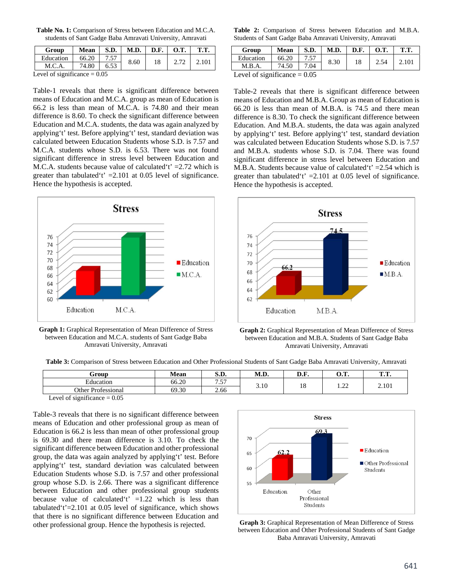**Table No. 1:** Comparison of Stress between Education and M.C.A. students of Sant Gadge Baba Amravati University, Amravati

| Group                         | Mean  |      | $S.D.$   M.D.   D.F.   O.T. |    |      | <b>T.T.</b> |
|-------------------------------|-------|------|-----------------------------|----|------|-------------|
| Education                     | 66.20 | 7.57 | 8.60                        | 18 | 2.72 | 2.101       |
| M.C.A                         | 74.80 | 6.53 |                             |    |      |             |
| Lavel of significance $-0.05$ |       |      |                             |    |      |             |

Level of significance  $= 0.05$ 

Table-1 reveals that there is significant difference between means of Education and M.C.A. group as mean of Education is 66.2 is less than mean of M.C.A. is 74.80 and their mean difference is 8.60. To check the significant difference between Education and M.C.A. students, the data was again analyzed by applying't' test. Before applying't' test, standard deviation was calculated between Education Students whose S.D. is 7.57 and M.C.A. students whose S.D. is 6.53. There was not found significant difference in stress level between Education and M.C.A. students because value of calculated  $t' = 2.72$  which is greater than tabulated 't'  $=2.101$  at 0.05 level of significance. Hence the hypothesis is accepted.



**Graph 1:** Graphical Representation of Mean Difference of Stress between Education and M.C.A. students of Sant Gadge Baba Amravati University, Amravati

**Table 2:** Comparison of Stress between Education and M.B.A. Students of Sant Gadge Baba Amravati University, Amravati

| Group                                                                              | <b>Mean</b> | S.D. | M.D. | D.F. | <b>O.T.</b> | T.T.  |
|------------------------------------------------------------------------------------|-------------|------|------|------|-------------|-------|
| Education                                                                          | 66.20       | 7.57 | 8.30 | 18   | 2.54        | 2.101 |
| M.B.A.                                                                             | 74.50       | 7.04 |      |      |             |       |
| $\mathbf{I}$ and a $\mathbf{f}$ and $\mathbf{f}$ and $\mathbf{f}$ and $\mathbf{f}$ |             |      |      |      |             |       |

Level of significance  $= 0.05$ 

Table-2 reveals that there is significant difference between means of Education and M.B.A. Group as mean of Education is 66.20 is less than mean of M.B.A. is 74.5 and there mean difference is 8.30. To check the significant difference between Education. And M.B.A. students, the data was again analyzed by applying't' test. Before applying't' test, standard deviation was calculated between Education Students whose S.D. is 7.57 and M.B.A. students whose S.D. is 7.04. There was found significant difference in stress level between Education and M.B.A. Students because value of calculated  $t' = 2.54$  which is greater than tabulated 't'  $=2.101$  at 0.05 level of significance. Hence the hypothesis is accepted.





**Table 3:** Comparison of Stress between Education and Other Professional Students of Sant Gadge Baba Amravati University, Amravati

| Frour                                     | Mean  | αn<br>ນ.ມ.            | M D<br>M<br>N.D | $\mathbf{r}$<br>L.L | <b>COLUM</b><br>$\mathbf{J}\bullet\mathbf{L}\bullet$ | m m<br>. |
|-------------------------------------------|-------|-----------------------|-----------------|---------------------|------------------------------------------------------|----------|
| Education                                 | 66.20 | $\overline{a}$<br>. ب |                 | $\sim$<br>10        | $\bigcap$<br>$\cdots$                                | 2.101    |
| Other<br>$\blacksquare$<br>· Professional | 69.30 | 2.66                  | 3.10            |                     |                                                      |          |

Level of significance  $= 0.05$ 

Table-3 reveals that there is no significant difference between means of Education and other professional group as mean of Education is 66.2 is less than mean of other professional group is 69.30 and there mean difference is 3.10. To check the significant difference between Education and other professional group, the data was again analyzed by applying't' test. Before applying't' test, standard deviation was calculated between Education Students whose S.D. is 7.57 and other professional group whose S.D. is 2.66. There was a significant difference between Education and other professional group students because value of calculated  $t^*$  =1.22 which is less than tabulated't'=2.101 at 0.05 level of significance, which shows that there is no significant difference between Education and other professional group. Hence the hypothesis is rejected. **Graph 3:** Graphical Representation of Mean Difference of Stress



between Education and Other Professional Students of Sant Gadge Baba Amravati University, Amravati